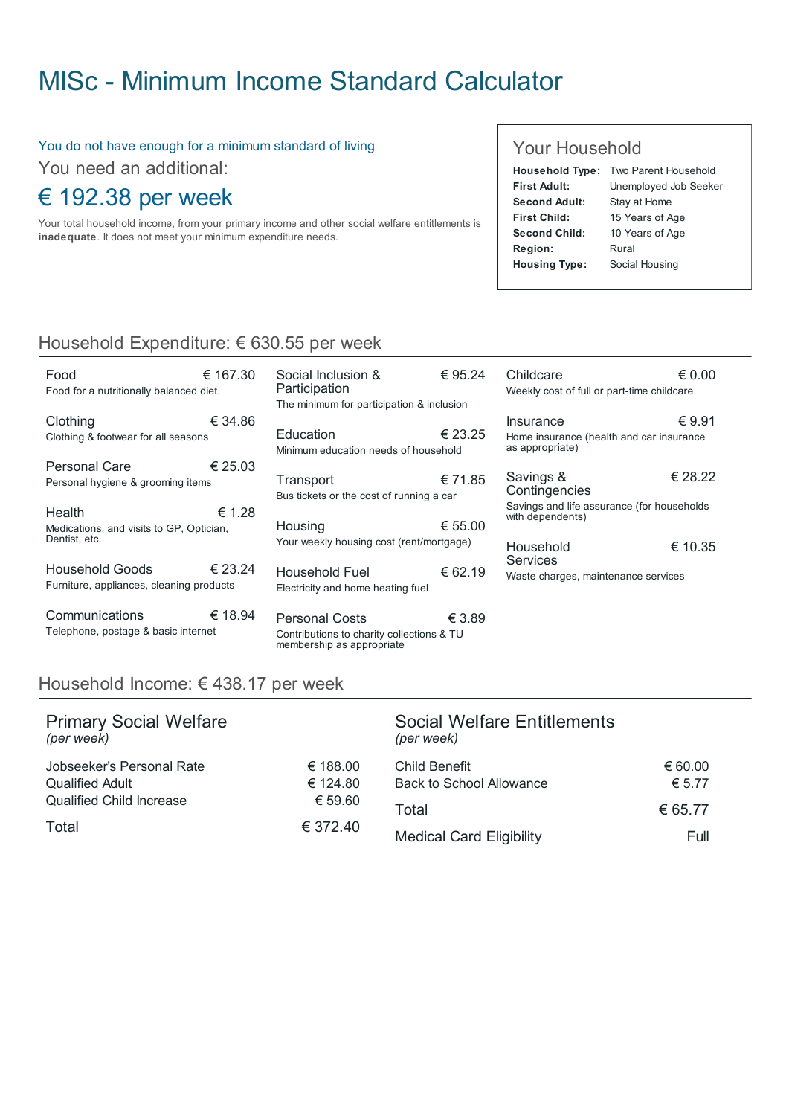### MISc - Minimum Income Standard [Calculator](http://www.misc.ie/)

#### You do not have enough for a minimum standard of living

You need an additional:

### € 192.38 per week

Your total household income, from your primary income and other social welfare entitlements is inadequate. It does not meet your minimum expenditure needs.

#### Your Household

| Household Type: Two Parent Household |
|--------------------------------------|
| Unemployed Job Seeker                |
| Stay at Home                         |
| 15 Years of Age                      |
| 10 Years of Age                      |
| Rural                                |
| Social Housing                       |
|                                      |

#### Household Expenditure: € 630.55 per week

| Food<br>Food for a nutritionally balanced diet.                     | € 167.30 |
|---------------------------------------------------------------------|----------|
| Clothing<br>Clothing & footwear for all seasons                     | € 34.86  |
| Personal Care<br>Personal hygiene & grooming items                  | € 25.03  |
| Health<br>Medications, and visits to GP, Optician,<br>Dentist, etc. | € 1.28   |
| Household Goods<br>Furniture, appliances, cleaning products         | € 23.24  |
| Communications<br>Telephone, postage & basic internet               | € 18.94  |

| 80        | Social Inclusion &<br>Participation<br>The minimum for participation & inclusion | € 95.24 | Childc<br>Weekly               |
|-----------|----------------------------------------------------------------------------------|---------|--------------------------------|
| 6         | Education<br>Minimum education needs of household                                | € 23.25 | Insurai<br>Home in<br>as appro |
| 13<br>2.8 | Transport<br>Bus tickets or the cost of running a car                            | € 71.85 | Saving<br>Contin<br>Savings    |
|           | Housing<br>Your weekly housing cost (rent/mortgage)                              | € 55.00 | with dep<br>House              |
| 24        | <b>Household Fuel</b><br>Electricity and home heating fuel                       | € 62.19 | Servic<br>Waste c              |
|           |                                                                                  |         |                                |

€ 3.89 Personal Costs Contributions to charity collections & TU membership as appropriate

| Childcare                                                      | € 0.00  |
|----------------------------------------------------------------|---------|
| Weekly cost of full or part-time childcare                     |         |
|                                                                |         |
| Insurance                                                      | € 9.91  |
| Home insurance (health and car insurance<br>as appropriate)    |         |
|                                                                |         |
| Savings &                                                      | € 28.22 |
| Contingencies                                                  |         |
| Savings and life assurance (for households<br>with dependents) |         |
|                                                                |         |
| Household<br><b>Services</b>                                   | € 10.35 |
|                                                                |         |

charges, maintenance services

#### Household Income: € 438.17 per week

| <b>Primary Social Welfare</b><br>(per week) |          | <b>Social Welfare Entitlements</b><br>(per week) |         |
|---------------------------------------------|----------|--------------------------------------------------|---------|
| Jobseeker's Personal Rate                   | € 188.00 | Child Benefit                                    | € 60.00 |
| <b>Qualified Adult</b>                      | € 124.80 | <b>Back to School Allowance</b>                  | € 5.77  |
| <b>Qualified Child Increase</b>             | € 59.60  | Total                                            | € 65.77 |
| Total                                       | € 372.40 | <b>Medical Card Eligibility</b>                  | Full    |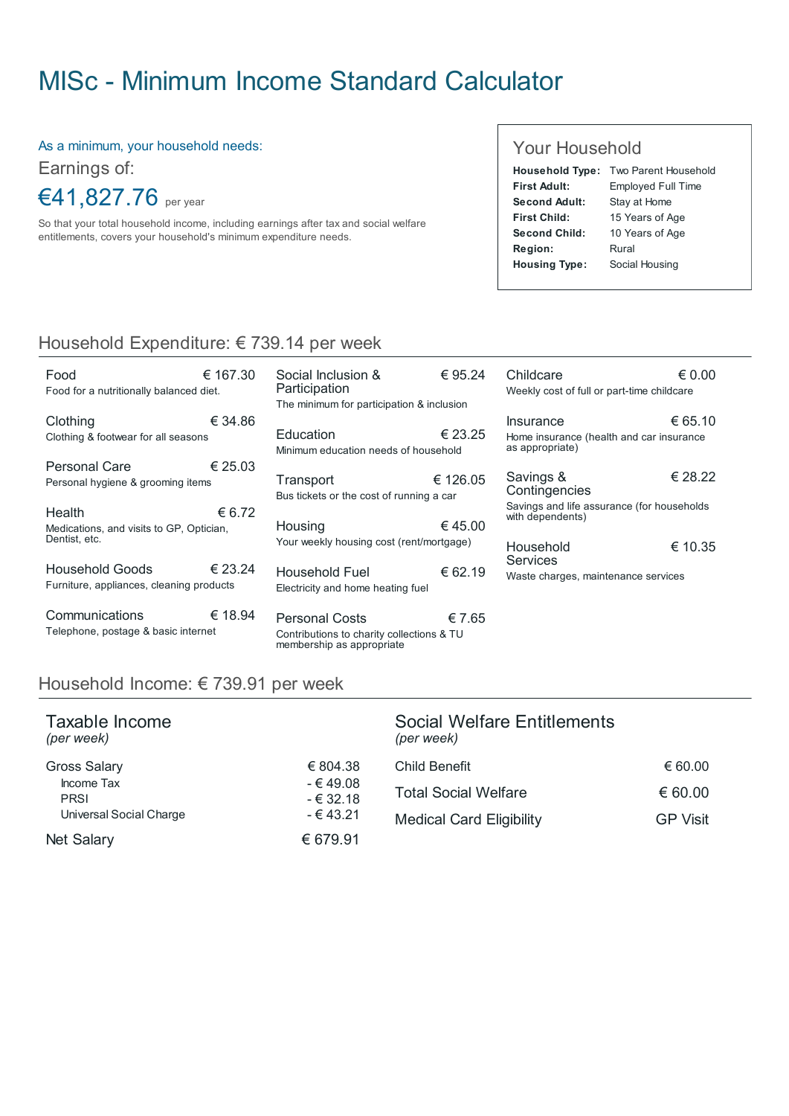# MISc - Minimum Income Standard [Calculator](http://www.misc.ie/)

As a minimum, your household needs:

Earnings of:

€41,827.76 per year

So that your total household income, including earnings after tax and social welfare entitlements, covers your household's minimum expenditure needs.

#### Your Household

|                      | <b>Household Type: Two Parent Household</b> |
|----------------------|---------------------------------------------|
| <b>First Adult:</b>  | <b>Employed Full Time</b>                   |
| Second Adult:        | Stay at Home                                |
| First Child:         | 15 Years of Age                             |
| Second Child:        | 10 Years of Age                             |
| Region:              | Rural                                       |
| <b>Housing Type:</b> | Social Housing                              |

### Household Expenditure: € 739.14 per week

| Food<br>Food for a nutritionally balanced diet.                     | € 167.30 |
|---------------------------------------------------------------------|----------|
| Clothing<br>Clothing & footwear for all seasons                     | € 34.86  |
| Personal Care<br>Personal hygiene & grooming items                  | € 25.03  |
| Health<br>Medications, and visits to GP, Optician,<br>Dentist, etc. | € 6.72   |
| Household Goods<br>Furniture, appliances, cleaning products         | € 23.24  |
| Communications<br>Telephone, postage & basic internet               | € 18.94  |

| 0              | Social Inclusion &<br>Participation                        | € 95.24  | Ch<br>We               |
|----------------|------------------------------------------------------------|----------|------------------------|
|                | The minimum for participation & inclusion                  |          |                        |
| 6              | Education<br>Minimum education needs of household          | € 23.25  | lns<br>Hor<br>as a     |
| 3              | Transport<br>Bus tickets or the cost of running a car      | € 126.05 | Sa<br>Co<br><b>Say</b> |
| $\overline{2}$ | Housing<br>Your weekly housing cost (rent/mortgage)        | €45.00   | with<br>Ho             |
| 4              | <b>Household Fuel</b><br>Electricity and home heating fuel | € 62.19  | Se<br>Wa               |

€ 7.65 Personal Costs Contributions to charity collections & TU membership as appropriate

| Childcare<br>Weekly cost of full or part-time childcare                                      | € 0.00  |
|----------------------------------------------------------------------------------------------|---------|
| Insurance<br>Home insurance (health and car insurance<br>as appropriate)                     | € 65.10 |
| Savings &<br>Contingencies<br>Savings and life assurance (for households<br>with dependents) | € 28.22 |
| Household<br><b>Services</b><br>Waste charges, maintenance services                          | € 10.35 |

#### Household Income: € 739.91 per week

| Taxable Income<br>(per week) |                        | Social Welfare Entitlements<br>(per week) |                 |
|------------------------------|------------------------|-------------------------------------------|-----------------|
| <b>Gross Salary</b>          | € 804.38               | Child Benefit                             | € 60.00         |
| Income Tax<br><b>PRSI</b>    | - € 49.08<br>$-632.18$ | <b>Total Social Welfare</b>               | € 60.00         |
| Universal Social Charge      | $-€43.21$              | <b>Medical Card Eligibility</b>           | <b>GP Visit</b> |
| <b>Net Salary</b>            | € 679.91               |                                           |                 |